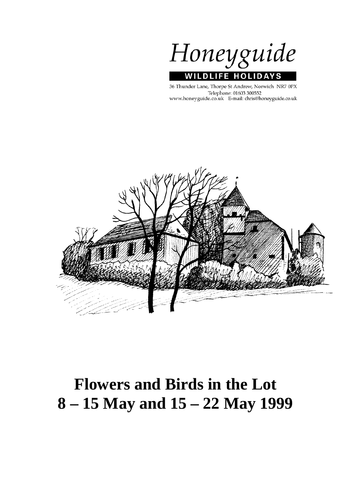Honeyguide **WILDLIFE HOLIDA** S

36 Thunder Lane, Thorpe St Andrew, Norwich NR7 0PX Telephone: 01603 300552 www.honeyguide.co.uk E-mail: chris@honeyguide.co.uk



# **Flowers and Birds in the Lot 8 – 15 May and 15 – 22 May 1999**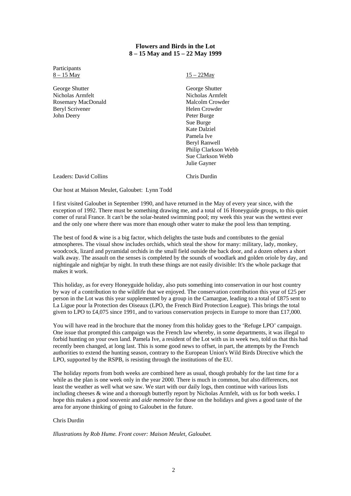## **Flowers and Birds in the Lot 8 – 15 May and 15 – 22 May 1999**

Participants  $8 - 15$  May

George Shutter Nicholas Armfelt Rosemary MacDonald Beryl Scrivener John Deery

15 – 22May

George Shutter Nicholas Armfelt Malcolm Crowder Helen Crowder Peter Burge Sue Burge Kate Dalziel Pamela Ive Beryl Ranwell Philip Clarkson Webb Sue Clarkson Webb Julie Gayner

Leaders: David Collins

Chris Durdin

Our host at Maison Meulet, Galoubet: Lynn Todd

I first visited Galoubet in September 1990, and have returned in the May of every year since, with the exception of 1992. There must be something drawing me, and a total of 16 Honeyguide groups, to this quiet comer of rural France. It can't be the solar-heated swimming pool; my week this year was the wettest ever and the only one where there was more than enough other water to make the pool less than tempting.

The best of food & wine is a big factor, which delights the taste buds and contributes to the genial atmospheres. The visual show includes orchids, which steal the show for many: military, lady, monkey, woodcock, lizard and pyramidal orchids in the small field outside the back door, and a dozen others a short walk away. The assault on the senses is completed by the sounds of woodlark and golden oriole by day, and nightingale and nightjar by night. In truth these things are not easily divisible: It's the whole package that makes it work.

This holiday, as for every Honeyguide holiday, also puts something into conservation in our host country by way of a contribution to the wildlife that we enjoyed. The conservation contribution this year of £25 per person in the Lot was this year supplemented by a group in the Camargue, leading to a total of £875 sent to La Ligue pour la Protection des Oiseaux (LPO, the French Bird Protection League). This brings the total given to LPO to £4,075 since 1991, and to various conservation projects in Europe to more than £17,000.

You will have read in the brochure that the money from this holiday goes to the 'Refuge LPO' campaign. One issue that prompted this campaign was the French law whereby, in some departments, it was illegal to forbid hunting on your own land. Pamela Ive, a resident of the Lot with us in week two, told us that this had recently been changed, at long last. This is some good news to offset, in part, the attempts by the French authorities to extend the hunting season, contrary to the European Union's Wild Birds Directive which the LPO, supported by the RSPB, is resisting through the institutions of the EU.

The holiday reports from both weeks are combined here as usual, though probably for the last time for a while as the plan is one week only in the year 2000. There is much in common, but also differences, not least the weather as well what we saw. We start with our daily logs, then continue with various lists including cheeses & wine and a thorough butterfly report by Nicholas Armfelt, with us for both weeks. I hope this makes a good souvenir and *aide memoire* for those on the holidays and gives a good taste of the area for anyone thinking of going to Galoubet in the future.

## Chris Durdin

*Illustrations by Rob Hume. Front cover: Maison Meulet, Galoubet.*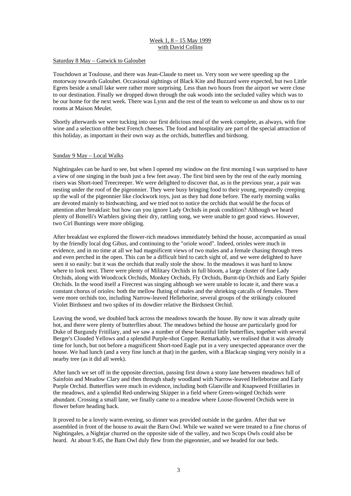## Week 1, 8 – 15 May 1999 with David Collins

#### Saturday 8 May – Gatwick to Galoubet

Touchdown at Toulouse, and there was Jean-Claude to meet us. Very soon we were speeding up the motorway towards Galoubet. Occasional sightings of Black Kite and Buzzard were expected, but two Little Egrets beside a small lake were rather more surprising. Less than two hours from the airport we were close to our destination. Finally we dropped down through the oak woods into the secluded valley which was to be our home for the next week. There was Lynn and the rest of the team to welcome us and show us to our rooms at Maison Meulet.

Shortly afterwards we were tucking into our first delicious meal of the week complete, as always, with fine wine and a selection ofthe best French cheeses. The food and hospitality are part of the special attraction of this holiday, as important in their own way as the orchids, butterflies and birdsong.

#### Sunday 9 May – Local Walks

Nightingales can be hard to see, but when I opened my window on the first morning I was surprised to have a view of one singing in the bush just a few feet away. The first bird seen by the rest of the early morning risers was Short-toed Treecreeper. We were delighted to discover that, as in the previous year, a pair was nesting under the roof of the pigeonnier. They were busy bringing food to their young, repeatedly creeping up the wall of the pigeonnier like clockwork toys, just as they had done before. The early morning walks are devoted mainly to birdwatching, and we tried not to notice the orchids that would be the focus of attention after breakfast: but how can you ignore Lady Orchids in peak condition? Although we heard plenty of Bonelli's Warblers giving their dry, rattling song, we were unable to get good views. However, two Cirl Buntings were more obliging.

After breakfast we explored the flower-rich meadows immediately behind the house, accompanied as usual by the friendly local dog Gibus, and continuing to the "oriole wood". Indeed, orioles were much in evidence, and in no time at all we had magnificent views of two males and a female chasing through trees and even perched in the open. This can be a difficult bird to catch sight of, and we were delighted to have seen it so easily: but it was the orchids that really stole the show. In the meadows it was hard to know where to look next. There were plenty of Military Orchids in full bloom, a large cluster of fine Lady Orchids, along with Woodcock Orchids, Monkey Orchids, Fly Orchids, Burnt-tip Orchids and Early Spider Orchids. In the wood itself a Firecrest was singing although we were unable to locate it, and there was a constant chorus of orioles: both the mellow fluting of males and the shrieking catcalls of females. There were more orchids too, including Narrow-leaved Helleborine, several groups of the strikingly coloured Violet Birdsnest and two spikes of its dowdier relative the Birdsnest Orchid.

Leaving the wood, we doubled back across the meadows towards the house. By now it was already quite hot, and there were plenty of butterflies about. The meadows behind the house are particularly good for Duke of Burgundy Fritillary, and we saw a number of these beautiful little butterflies, together with several Berger's Clouded Yellows and a splendid Purple-shot Copper. Remarkably, we realised that it was already time for lunch, but not before a magnificent Short-toed Eagle put in a very unexpected appearance over the house. We had lunch (and a very fine lunch at that) in the garden, with a Blackcap singing very noisily in a nearby tree (as it did all week).

After lunch we set off in the opposite direction, passing first down a stony lane between meadows full of Sainfoin and Meadow Clary and then through shady woodland with Narrow-leaved Helleborine and Early Purple Orchid. Butterflies were much in evidence, including both Glanville and Knapweed Fritillaries in the meadows, and a splendid Red-underwing Skipper in a field where Green-winged Orchids were abundant. Crossing a small lane, we finally came to a meadow where Loose-flowered Orchids were in flower before heading back.

It proved to be a lovely warm evening, so dinner was provided outside in the garden. After that we assembled in front of the house to await the Barn Owl. While we waited we were treated to a fine chorus of Nightingales, a Nightjar churred on the opposite side of the valley, and two Scops Owls could also be heard. At about 9.45, the Bam Owl duly flew from the pigeonnier, and we headed for our beds.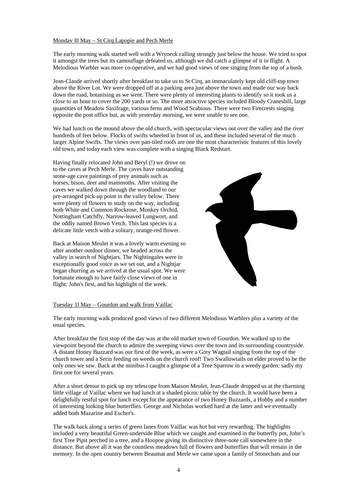#### Mondav l0 May – St Cirq Lapopie and Pech Merle

The early morning walk started well with a Wryneck calling strongly just below the house. We tried to spot it amongst the trees but its camouflage defeated us, although we did catch a glimpse of it in flight. A Melodious Warbler was more co-operative, and we had good views of one singing from the top of a bush.

Jean-Claude arrived shortly after breakfast to take us to St Cirq, an immaculately kept old cliff-top town above the River Lot. We were dropped off at a parking area just above the town and made our way back down the road, botanising as we went. There were plenty of interesting plants to identify so it took us a close to an hour to cover the 200 yards or so. The more attractive species included Bloody Cranesbill, large quantities of Meadow Saxifrage, various ferns and Wood Scabious. There were two Firecrests singing opposite the post office but, as with yesterday morning, we were unable to see one.

We had lunch on the mound above the old church, with spectacular views out over the valley and the river hundreds of feet below. Flocks of swifts wheeled in front of us, and these included several of the much larger Alpine Swifts. The views over pan-tiled roofs are one the most characteristic features of this lovely old town, and today each view was complete with a singing Black Redstart.

Having finally relocated John and Beryl (!) we drove on to the caves at Pech Merle. The caves have outstanding stone-age cave paintings of prey animals such as horses, bison, deer and mammoths. After visiting the caves we walked down through the woodland to our pre-arranged pick-up point in the valley below. There were plenty of flowers to study on the way, including both White and Common Rockrose, Monkey Orchid, Nottingham Catchfly, Narrow-leaved Lungwort, and the oddly named Brown Vetch. This last species is a delicate little vetch with a solitary, orange-red flower.

Back at Maison Meulet it was a lovely warm evening so after another outdoor dinner, we headed across the valley in search of Nightjars. The Nightingales were in exceptionally good voice as we set out, and a Nightjar began churring as we arrived at the usual spot. We were fortunate enough to have fairly close views of one in flight: John's first, and his highlight of the week.



## Tuesday 1l May – Gourdon and walk from Vaillac

The early morning walk produced good views of two different Melodious Warblers plus a variety of the usual species.

After breakfast the first stop of the day was at the old market town of Gourdon. We walked up to the viewpoint beyond the church to admire the sweeping views over the town and its surrounding countryside. A distant Honey Buzzard was our first of the week, as were a Grey Wagtail singing from the top of the church tower and a Serin feeding on weeds on the church roof! Two Swallowtails on elder proved to be the only ones we saw. Back at the minibus I caught a glimpse of a Tree Sparrow in a weedy garden: sadly my first one for several years.

After a short detour to pick up my telescope from Maison Meulet, Jean-Claude dropped us at the charming little village of Vaillac where we had lunch at a shaded picnic table by the church. It would have been a delightfully restful spot for lunch except for the appearance of two Honey Buzzards, a Hobby and a number of interesting looking blue butterflies. George and Nicholas worked hard at the latter and we eventually added both Mazarine and Escher's.

The walk back along a series of green lanes from Vaillac was hot but very rewarding. The highlights included a very beautiful Green-underside Blue which we caught and examined in the butterfly pot, John's first Tree Pipit perched in a tree, and a Hoopoe giving its distinctive three-note call somewhere in the distance. But above all it was the countless meadows full of flowers and butterflies that will remain in the memory. In the open country between Beaumat and Merle we came upon a family of Stonechats and our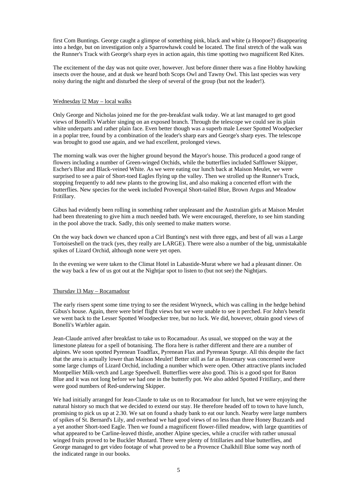first Com Buntings. George caught a glimpse of something pink, black and white (a Hoopoe?) disappearing into a hedge, but on investigation only a Sparrowhawk could be located. The final stretch of the walk was the Runner's Track with George's sharp eyes in action again, this time spotting two magnificent Red Kites.

The excitement of the day was not quite over, however. Just before dinner there was a fine Hobby hawking insects over the house, and at dusk we heard both Scops Owl and Tawny Owl. This last species was very noisy during the night and disturbed the sleep of several of the group (but not the leader!).

#### Wednesday l2 May – local walks

Only George and Nicholas joined me for the pre-breakfast walk today. We at last managed to get good views of Bonelli's Warbler singing on an exposed branch. Through the telescope we could see its plain white underparts and rather plain face. Even better though was a superb male Lesser Spotted Woodpecker in a poplar tree, found by a combination of the leader's sharp ears and George's sharp eyes. The telescope was brought to good use again, and we had excellent, prolonged views.

The morning walk was over the higher ground beyond the Mayor's house. This produced a good range of flowers including a number of Green-winged Orchids, while the butterflies included Safflower Skipper, Escher's Blue and Black-veined White. As we were eating our lunch back at Maison Meulet, we were surprised to see a pair of Short-toed Eagles flying up the valley. Then we strolled up the Runner's Track, stopping frequently to add new plants to the growing list, and also making a concerted effort with the butterflies. New species for the week included Provençal Short-tailed Blue, Brown Argus and Meadow Fritillary.

Gibus had evidently been rolling in something rather unpleasant and the Australian girls at Maison Meulet had been threatening to give him a much needed bath. We were encouraged, therefore, to see him standing in the pool above the track. Sadly, this only seemed to make matters worse.

On the way back down we chanced upon a Cirl Bunting's nest with three eggs, and best of all was a Large Tortoiseshell on the track (yes, they really are LARGE). There were also a number of the big, unmistakable spikes of Lizard Orchid, although none were yet open.

In the evening we were taken to the Climat Hotel in Labastide-Murat where we had a pleasant dinner. On the way back a few of us got out at the Nightjar spot to listen to (but not see) the Nightjars.

## Thursdav l3 May – Rocamadour

The early risers spent some time trying to see the resident Wryneck, which was calling in the hedge behind Gibus's house. Again, there were brief flight views but we were unable to see it perched. For John's benefit we went back to the Lesser Spotted Woodpecker tree, but no luck. We did, however, obtain good views of Bonelli's Warbler again.

Jean-Claude arrived after breakfast to take us to Rocamadour. As usual, we stopped on the way at the limestone plateau for a spell of botanising. The flora here is rather different and there are a number of alpines. We soon spotted Pyrenean Toadflax, Pyrenean Flax and Pyrenean Spurge. All this despite the fact that the area is actually lower than Maison Meulet! Better still as far as Rosemary was concerned were some large clumps of Lizard Orchid, including a number which were open. Other attractive plants included Montpellier Milk-vetch and Large Speedwell. Butterflies were also good. This is a good spot for Baton Blue and it was not long before we had one in the butterfly pot. We also added Spotted Fritillary, and there were good numbers of Red-underwing Skipper.

We had initially arranged for Jean-Claude to take us on to Rocamadour for lunch, but we were enjoying the natural history so much that we decided to extend our stay. He therefore headed off to town to have lunch, promising to pick us up at 2.30. We sat on found a shady bank to eat our lunch. Nearby were large numbers of spikes of St. Bernard's Lily, and overhead we had good views of no less than three Honey Buzzards and a yet another Short-toed Eagle. Then we found a magnificent flower-filled meadow, with large quantities of what appeared to be Carline-leaved thistle, another Alpine species, while a crucifer with rather unusual winged fruits proved to be Buckler Mustard. There were plenty of fritillaries and blue butterflies, and George managed to get video footage of what proved to be a Provence Chalkhill Blue some way north of the indicated range in our books.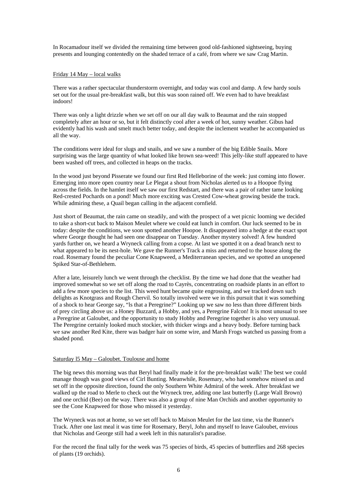In Rocamadour itself we divided the remaining time between good old-fashioned sightseeing, buying presents and lounging contentedly on the shaded terrace of a café, from where we saw Crag Martin.

#### Friday 14 May – local walks

There was a rather spectacular thunderstorm overnight, and today was cool and damp. A few hardy souls set out for the usual pre-breakfast walk, but this was soon rained off. We even had to have breakfast indoors!

There was only a light drizzle when we set off on our all day walk to Beaumat and the rain stopped completely after an hour or so, but it felt distinctly cool after a week of hot, sunny weather. Gibus had evidently had his wash and smelt much better today, and despite the inclement weather he accompanied us all the way.

The conditions were ideal for slugs and snails, and we saw a number of the big Edible Snails. More surprising was the large quantity of what looked like brown sea-weed! This jelly-like stuff appeared to have been washed off trees, and collected in heaps on the tracks.

In the wood just beyond Pisserate we found our first Red Helleborine of the week: just coming into flower. Emerging into more open country near Le Plegat a shout from Nicholas alerted us to a Hoopoe flying across the fields. In the hamlet itself we saw our first Redstart, and there was a pair of rather tame looking Red-crested Pochards on a pond! Much more exciting was Crested Cow-wheat growing beside the track. While admiring these, a Quail began calling in the adjacent cornfield.

Just short of Beaumat, the rain came on steadily, and with the prospect of a wet picnic looming we decided to take a short-cut back to Maison Meulet where we could eat lunch in comfort. Our luck seemed to be in today: despite the conditions, we soon spotted another Hoopoe. It disappeared into a hedge at the exact spot where George thought he had seen one disappear on Tuesday. Another mystery solved! A few hundred yards further on, we heard a Wryneck calling from a copse. At last we spotted it on a dead branch next to what appeared to be its nest-hole. We gave the Runner's Track a miss and returned to the house along the road. Rosemary found the peculiar Cone Knapweed, a Mediterranean species, and we spotted an unopened Spiked Star-of-Bethlehem.

After a late, leisurely lunch we went through the checklist. By the time we had done that the weather had improved somewhat so we set off along the road to Cayrès, concentrating on roadside plants in an effort to add a few more species to the list. This weed hunt became quite engrossing, and we tracked down such delights as Knotgrass and Rough Chervil. So totally involved were we in this pursuit that it was something of a shock to hear George say, "ls that a Peregrine?" Looking up we saw no less than three different birds of prey circling above us: a Honey Buzzard, a Hobby, and yes, a Peregrine Falcon! It is most unusual to see a Peregrine at Galoubet, and the opportunity to study Hobby and Peregrine together is also very unusual. The Peregrine certainly looked much stockier, with thicker wings and a heavy body. Before turning back we saw another Red Kite, there was badger hair on some wire, and Marsh Frogs watched us passing from a shaded pond.

#### Saturday l5 May – Galoubet. Toulouse and home

The big news this morning was that Beryl had finally made it for the pre-breakfast walk! The best we could manage though was good views of Cirl Bunting. Meanwhile, Rosemary, who had somehow missed us and set off in the opposite direction, found the only Southern White Admiral of the week. After breakfast we walked up the road to Merle to check out the Wryneck tree, adding one last butterfly (Large Wall Brown) and one orchid (Bee) on the way. There was also a group of nine Man Orchids and another opportunity to see the Cone Knapweed for those who missed it yesterday.

The Wryneck was not at home, so we set off back to Maison Meulet for the last time, via the Runner's Track. After one last meal it was time for Rosemary, Beryl, John and myself to leave Galoubet, envious that Nicholas and George still had a week left in this naturalist's paradise.

For the record the final tally for the week was 75 species of birds, 45 species of butterflies and 268 species of plants (19 orchids).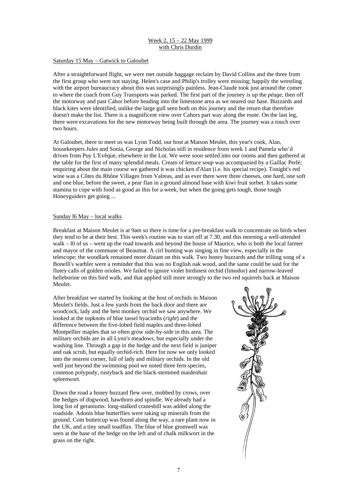## Week 2, 15 – 22 May 1999 with Chris Durdin

#### Saturday 15 May – Gatwick to Galoubet

After a straightforward flight, we were met outside baggage reclaim by David Collins and the three from the first group who were not staying. Helen's case and Philip's trolley were missing; happily the wrestling with the airport bureaucracy about this was surprisingly painless. Jean-Claude took just around the comer to where the coach from Guy Transports was parked. The first part of the journey is up the *péage*, then off the motorway and past Cahor before heading into the limestone area as we neared our base. Buzzards and black kites were identified, unlike the large gull seen both on this journey and the return that therefore doesn't make the list. There is a magnificent view over Cahors part way along the route. On the last leg, there were excavations for the new motorway being built through the area. The journey was a touch over two hours.

At Galoubet, there to meet us was Lynn Todd, our host at Maison Meulet, this year's cook, Alan, housekeepers Jules and Sonia, George and Nicholas still in residence frorn week 1 and Pamela who'd driven from Puy L'Evêque, elsewhere in the Lot. We were soon settled into our rooms and then gathered at the table for the first of many splendid meals. Cream of lettuce soup was accompanied by a Gaillac Perlé; enquiring about the main course we gathered it was chicken d'Alan (i.e. his special recipe). Tonight's red wine was a Côtes du Rhône Villages from Valreas, and as ever there were three cheeses, one hard, one soft and one blue, before the sweet, a pear flan in a ground almond base with kiwi fruit sorbet. It takes some stamina to cope with food as good as this for a week, but when the going gets tough, those tough Honeyguiders get going ...

#### Sunday l6 May – local walks

Breakfast at Maison Meulet is at 9am so there is time for a pre-breakfast walk to concentrate on birds when they tend to be at their best. This week's routine was to start off at 7.30, and this morning a well-attended walk – l0 of us – went up the road towards and beyond the house of Maurice, who is both the local farmer and mayor of the commune of Beaumat. A cirl bunting was singing in fine view, especially in the telescope; the woodlark remained more distant on this walk. Two honey buzzards and the trilling song of a Bonelli's warbler were a reminder that this was no English oak wood, and the same could be said for the flutey calls of golden orioles. We failed to ignore violet birdsnest orchid (limodor) and narrow-leaved helleborine on this bird walk, and that applied still more strongly to the two red squirrels back at Maison Meulet.

After breakfast we started by looking at the host of orchids in Maison Meulet's fields. Just a few yards from the back door and there are woodcock, lady and the best monkey orchid we saw anywhere. We looked at the topknots of blue tassel hyacinths (*right*) and the difference between the five-lobed field maples and three-lobed Montpellier maples that so often grow side-by-side in this area. The military orchids are in all Lynn's meadows, but especially under the washing line. Through a gap in the hedge and the next field is juniper and oak scrub, but equally orchid-rich. Here for now we only looked into the nearest corner, full of lady and military orchids. In the old well just beyond the swimming pool we noted three fern species. common polypody, rustyback and the black-stemmed maidenhair spleenwort.

Down the road a honey buzzard flew over, mobbed by crows, over the hedges of dogwood, hawthorn and spindle. We already had a long list of geraniums: long-stalked cranesbill was added along the roadside. Adonis blue butterflies were taking up minerals from the ground. Com buttercup was found along the way, a rare plant now in the UK, and a tiny small toadflax. The blue of blue gromwell was seen at the base of the hedge on the left and of chalk milkwort in the grass on the right.

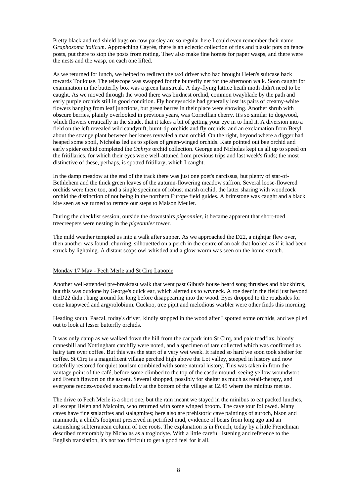Pretty black and red shield bugs on cow parsley are so regular here I could even remember their name – G*raphosoma italicum*. Approaching Cayrès, there is an eclectic collection of tins and plastic pots on fence posts, put there to stop the posts from rotting. They also make fine homes for paper wasps, and there were the nests and the wasp, on each one lifted.

As we returned for lunch, we helped to redirect the taxi driver who had brought Helen's suitcase back towards Toulouse. The telescope was swapped for the butterfly net for the afternoon walk. Soon caught for examination in the butterfly box was a green hairstreak. A day-flying lattice heath moth didn't need to be caught. As we moved through the wood there was birdnest orchid, common twayblade by the path and early purple orchids still in good condition. Fly honeysuckle had generally lost its pairs of creamy-white flowers hanging from leaf junctions, but green berres in their place were showing. Another shrub with obscure berries, plainly overlooked in previous years, was Cornellian cherry. It's so similar to dogwood, which flowers erratically in the shade, that it takes a bit of getting your eye in to find it. A diversion into a field on the left revealed wild candytuft, bumt-tip orchids and fly orchids, and an exclamation from Beryl about the strange plant between her knees revealed a man orchid. On the right, beyond where a digger had heaped some spoil, Nicholas led us to spikes of green-winged orchids. Kate pointed out bee orchid and early spider orchid completed the *Ophrys* orchid collection. George and Nicholas kept us all up to speed on the fritillaries, for which their eyes were well-attuned from previous trips and last week's finds; the most distinctive of these, perhaps, is spotted fritillary, which I caught.

In the damp meadow at the end of the track there was just one poet's narcissus, but plenty of star-of-Bethlehem and the thick green leaves of the autumn-flowering meadow saffron. Several loose-flowered orchids were there too, and a single specimen of robust marsh orchid, the latter sharing with woodcock orchid the distinction of not being in the northern Europe field guides. A brimstone was caught and a black kite seen as we turned to retrace our steps to Maison Meulet.

During the checklist session, outside the downstairs *pigeonnier*, it became apparent that short-toed treecreepers were nesting in the *pigeonnier* tower.

The mild weather tempted us into a walk after supper. As we approached the D22, a nightjar flew over, then another was found, churring, silhouetted on a perch in the centre of an oak that looked as if it had been struck by lightning. A distant scops owl whistled and a glow-worm was seen on the home stretch.

#### Monday 17 May - Pech Merle and St Cirq Lapopie

Another well-attended pre-breakfast walk that went past Gibus's house heard song thrushes and blackbirds, but this was outdone by George's quick ear, which alerted us to wryneck. A roe deer in the field just beyond theD22 didn't hang around for long before disappearing into the wood. Eyes dropped to the roadsides for cone knapweed and argyrolobium. Cuckoo, tree pipit and melodious warbler were other finds this morning.

Heading south, Pascal, today's driver, kindly stopped in the wood after I spotted some orchids, and we piled out to look at lesser butterfly orchids.

It was only damp as we walked down the hill from the car park into St Cirq, and pale toadflax, bloody cranesbill and Nottingham catchfly were noted, and a specimen of tare collected which was confirmed as hairy tare over coffee. But this was the start of a very wet week. It rained so hard we soon took shelter for coffee. St Cirq is a magnificent village perched high above the Lot valley, steeped in history and now tastefully restored for quiet tourism combined with some natural history. This was taken in from the vantage point of the café, before some climbed to the top of the castle mound, seeing yellow woundwort and French figwort on the ascent. Several shopped, possibly for shelter as much as retail-therapy, and everyone rendez-vous'ed successfully at the bottom of the village at 12.45 where the minibus met us.

The drive to Pech Merle is a short one, but the rain meant we stayed in the minibus to eat packed lunches, all except Helen and Malcolm, who returned with some winged broom. The cave tour followed. Many caves have fine stalactites and stalagmites; here also are prehistoric cave paintings of auroch, bison and mammoth, a child's footprint preserved in petrified mud, evidence of bears from long ago and an astonishing subterranean column of tree roots. The explanation is in French, today by a little Frenchman described memorably by Nicholas as a troglodyte. With a little careful listening and reference to the English translation, it's not too difficult to get a good feel for it all.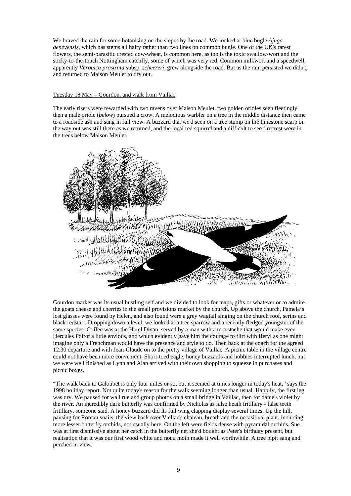We braved the rain for some botanising on the slopes by the road. We looked at blue bugle *Ajuga genevensis*, which has stems all hairy rather than two lines on common bugle. One of the UK's rarest flowers, the semi-parasitic crested cow-wheat, is common here, as too is the toxic swallow-wort and the sticky-to-the-touch Nottingham catchfly, some of which was very red. Common milkwort and a speedwell, apparently *Veronica prostrata* subsp. *scheereri*, grew alongside the road. But as the rain persisted we didn't, and returned to Maison Meulet to dry out.

#### Tuesday 18 May – Gourdon. and walk from Vaillac

The early risers were rewarded with two ravens over Maison Meulet, two golden orioles seen fleetingly then a male oriole (*below*) pursued a crow. A melodious warbler on a tree in the middle distance then came to a roadside ash and sang in full view. A buzzard that we'd seen on a tree stump on the limestone scarp on the way out was still there as we returned, and the local red squirrel and a difficult to see firecrest were in the trees below Maison Meulet.



Gourdon market was its usual bustling self and we divided to look for maps, gifts or whatever or to admire the goats cheese and cherries in the small provisions market by the church. Up above the church, Pamela's lost glasses were found by Helen, and also found were a grey wagtail singing on the church roof, serins and black redstart. Dropping down a level, we looked at a tree sparrow and a recently fledged youngster of the same species. Coffee was at the Hotel Divan, served by a man with a moustache that would make even Hercules Poirot a little envious, and which evidently gave him the courage to flirt with Beryl as one might imagine only a Frenchman would have the presence and style to do. Then back at the coach for the agreed 12.30 departure and with Jean-Claude on to the pretty village of Vaillac. A picnic table in the village centre could not have been more convenient. Short-toed eagle, honey buzzards and hobbies interrupted lunch, but we were well finished as Lynn and Alan arrived with their own shopping to squeeze in purchases and picnic boxes.

"The walk back to Galoubet is only four miles or so, but it seemed at times longer in today's heat," says the 1998 holiday report. Not quite today's reason for the walk seeming longer than usual. Happily, the first leg was dry. We paused for wall rue and group photos on a small bridge in Vaillac, then for dame's violet by the river. An incredibly dark butterfly was confirmed by Nicholas as false heath fritillary - false teeth fritillary, someone said. A honey buzzard did its full wing clapping display several times. Up the hill, pausing for Roman snails, the view back over Vaillac's chateau, breath and the occasional plant, including more lesser butterfly orchids, not usually here. On the left were fields dense with pyramidal orchids. Sue was at first dismissive about her catch in the butterfly net she'd bought as Peter's birthday present, but realisation that it was our first wood white and not a moth made it well worthwhile. A tree pipit sang and perched in view.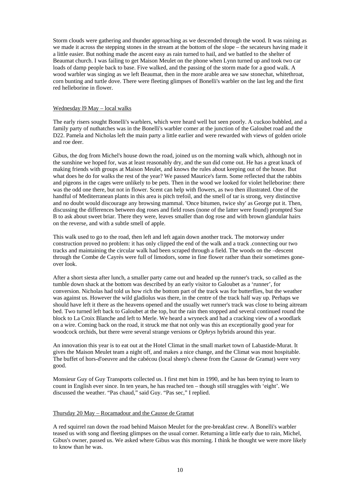Storm clouds were gathering and thunder approaching as we descended through the wood. It was raining as we made it across the stepping stones in the stream at the bottom of the slope – the secateurs having made it a little easier. But nothing made the ascent easy as rain turned to hail, and we battled to the shelter of Beaumat church. I was failing to get Maison Meulet on the phone when Lynn turned up and took two car loads of damp people back to base. Five walked, and the passing of the storm made for a good walk. A wood warbler was singing as we left Beaumat, then in the more arable area we saw stonechat, whitethroat, corn bunting and turtle dove. There were fleeting glimpses of Bonelli's warbler on the last leg and the first red helleborine in flower.

#### Wednesday l9 May – local walks

The early risers sought Bonelli's warblers, which were heard well but seen poorly. A cuckoo bubbled, and a family party of nuthatches was in the Bonelli's warbler comer at the junction of the Galoubet road and the D22. Pamela and Nicholas left the main party a little earlier and were rewarded with views of golden oriole and roe deer.

Gibus, the dog from Michel's house down the road, joined us on the morning walk which, although not in the sunshine we hoped for, was at least reasonably dry, and the sun did come out. He has a great knack of making friends with groups at Maison Meulet, and knows the rules about keeping out of the house. But what does he do for walks the rest of the year? We passed Maurice's farm. Some reflected that the rabbits and pigeons in the cages were unlikely to be pets. Then in the wood we looked for violet helleborine: there was the odd one there, but not in flower. Scent can help with flowers, as two then illustrated. One of the handful of Mediterranean plants in this area is pitch trefoil, and the smell of tar is strong, very distinctive and no doubt would discourage any browsing mammal. 'Once bitumen, twice shy' as George put it. Then, discussing the differences between dog roses and field roses (none of the latter were found) prompted Sue B to ask about sweet briar. There they were, leaves smaller than dog rose and with brown glandular hairs on the reverse, and with a subtle smell of apple.

This walk used to go to the road, then left and left again down another track. The motorway under construction proved no problem: it has only clipped the end of the walk and a track .connecting our two tracks and maintaining the circular walk had been scraped through a field. The woods on the –descent through the Combe de Cayrès were full of limodors, some in fine flower rather than their sometimes goneover look.

After a short siesta after lunch, a smaller party came out and headed up the runner's track, so called as the tumble down shack at the bottom was described by an early visitor to Galoubet as a 'runner', for conversion. Nicholas had told us how rich the bottom part of the track was for butterflies, but the weather was against us. However the wild gladiolus was there, in the centre of the track half way up. Perhaps we should have left it there as the heavens opened and the usually wet runner's track was close to being aitream bed. Two turned left back to Galoubet at the top, but the rain then stopped and several continued round the block to La Croix Blanche and left to Merle. We heard a wryneck and had a cracking view of a woodlark on a wire. Coming back on the road, it struck me that not only was this an exceptionally good year for woodcock orchids, but there were several strange versions or *Ophrys* hybrids around this year.

An innovation this year is to eat out at the Hotel Climat in the small market town of Labastide-Murat. It gives the Maison Meulet team a night off, and makes a nice change, and the Climat was most hospitable. The buffet of hors-d'oeuvre and the cabécou (local sheep's cheese from the Causse de Gramat) were very good.

Monsieur Guy of Guy Transports collected us. I first met him in 1990, and he has been trying to learn to count in English ever since. In ten years, he has reached ten – though still struggles with 'eight'. We discussed the weather. "Pas chaud," said Guy. "Pas sec," I replied.

#### Thursday 20 May – Rocamadour and the Causse de Gramat

A red squirrel ran down the road behind Maison Meulet for the pre-breakfast crew. A Bonelli's warbler teased us with song and fleeting glimpses on the usual corner. Returning a little early due to rain, Michel, Gibus's owner, passed us. We asked where Gibus was this morning. I think he thought we were more likely to know than he was.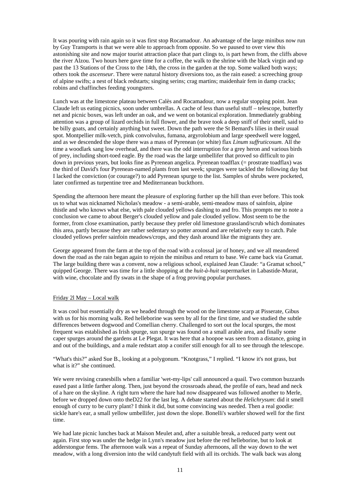It was pouring with rain again so it was first stop Rocamadour. An advantage of the large minibus now run by Guy Transports is that we were able to approach from opposite. So we paused to over view this astonishing site and now major tourist attraction place that part clings to, is part hewn from, the cliffs above the river Alzou. Two hours here gave time for a coffee, the walk to the shrine with the black virgin and up past the 13 Stations of the Cross to the 14th, the cross in the garden at the top. Some walked both ways; others took the *ascenseur*. There were natural history diversions too, as the rain eased: a screeching group of alpine swifts; a nest of black redstarts; singing serins; crag martins; maidenhair fem in damp cracks; robins and chaffinches feeding youngsters.

Lunch was at the limestone plateau between Calès and Rocamadour, now a regular stopping point. Jean Claude left us eating picnics, soon under umbrellas. A cache of less than useful stuff – telescope, butterfly net and picnic boxes, was left under an oak, and we went on botanical exploration. Immediately grabbing attention was a group of lizard orchids in full flower, and the brave took a deep sniff of their smell, said to be billy goats, and certainly anything but sweet. Down the path were the St Bemard's lilies in their usual spot. Montpellier milk-vetch, pink convolvulus, fumana, argyrolobium and large speedwell were logged, and as we descended the slope there was a mass of Pyrenean (or white) flax *Linum suffruticosum*. All the time a woodlark sang low overhead, and there was the odd interruption for a grey heron and various birds of prey, including short-toed eagle. By the road was the large umbellifer that proved so difficult to pin down in previous years, but looks fine as Pyrenean angelica. Pyrenean toadflax (= prostrate toadflax) was the third of David's four Pyrenean-named plants from last week; spurges were tackled the following day but I lacked the conviction (or courage?) to add Pyrenean spurge to the list. Samples of shrubs were pocketed, later confirmed as turpentine tree and Mediterranean buckthorn.

Spending the afternoon here meant the pleasure of exploring further up the hill than ever before. This took us to what was nicknamed Nicholas's meadow - a semi-arable, semi-meadow mass of sainfoin, alpine thistle and who knows what else, with pale clouded yellows dashing to and fro. This prompts me to note a conclusion we came to about Berger's clouded yellow and pale clouded yellow. Most seem to be the former, from close examination, partly because they prefer old limestone grassland/scrub which dominates this area, partly because they are rather sedentary so potter around and are relatively easy to catch. Pale clouded yellows prefer sainfoin meadows/crops, and they dash around like the migrants they are.

George appeared from the farm at the top of the road with a colossal jar of honey, and we all meandered down the road as the rain began again to rejoin the minibus and return to base. We came back via Gramat. The large building there was a convent, now a religious school, explained Jean Claude: "a Gramat school," quipped George. There was time for a little shopping at the *huit-à-huit* supermarket in Labastide-Murat, with wine, chocolate and fly swats in the shape of a frog proving popular purchases.

#### Friday 2l May – Local walk

It was cool but essentially dry as we headed through the wood on the limestone scarp at Pisserate, Gibus with us for his morning walk. Red helleborine was seen by all for the first time, and we studied the subtle differences between dogwood and Comellian cherry. Challenged to sort out the local spurges, the most frequent was established as Irish spurge, sun spurge was found on a small arable area, and finally some caper spurges around the gardens at Le Plegat. It was here that a hoopoe was seen from a distance, going in and out of the buildings, and a male redstart atop a conifer still enough for all to see through the telescope.

"What's this?" asked Sue B., looking at a polygonum. "Knotgrass," I replied. "I know it's not grass, but what is it?" she continued.

We were revising cranesbills when a familiar 'wet-my-lips' call announced a quail. Two common buzzards eased past a little farther along. Then, just beyond the crossroads ahead, the profile of ears, head and neck of a hare on the skyline. A right turn where the hare had now disappeared was followed another to Merle, before we dropped down onto theD22 for the last leg. A debate started about the *Helichrysum*: did it smell enough of curry to be curry plant? I think it did, but some convincing was needed. Then a real goodie: sickle hare's ear, a small yellow umbellifer, just down the slope. Bonelli's warbler showed well for the first time.

We had late picnic lunches back at Maison Meulet and, after a suitable break, a reduced party went out again. First stop was under the hedge in Lynn's meadow just before the red helleborine, but to look at adderstongue fems. The afternoon walk was a repeat of Sunday afternoons, all the way down to the wet meadow, with a long diversion into the wild candytuft field with all its orchids. The walk back was along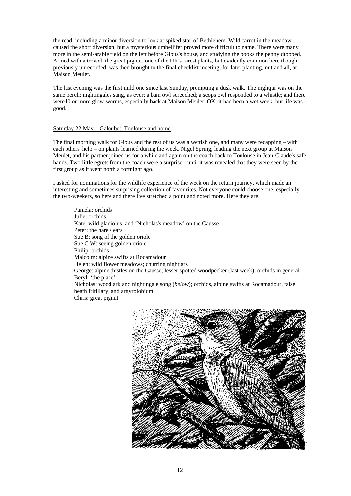the road, including a minor diversion to look at spiked star-of-Bethlehem. Wild carrot in the meadow caused the short diversion, but a mysterious umbellifer proved more difficult to name. There were many more in the semi-arable field on the left before Gibus's house, and studying the books the penny dropped. Armed with a trowel, the great pignut, one of the UK's rarest plants, but evidently common here though previously unrecorded, was then brought to the final checklist meeting, for later planting, nut and all, at Maison Meulet.

The last evening was the first mild one since last Sunday, prompting a dusk walk. The nightiar was on the same perch; nightingales sang, as ever; a bam owl screeched; a scops owl responded to a whistle; and there were l0 or more glow-worms, especially back at Maison Meulet. OK, it had been a wet week, but life was good.

#### Saturday 22 May – Galoubet, Toulouse and home

The final morning walk for Gibus and the rest of us was a wettish one, and many were recapping – with each others' help – on plants learned during the week. Nigel Spring, leading the next group at Maison Meulet, and his partner joined us for a while and again on the coach back to Toulouse in Jean-Claude's safe hands. Two little egrets from the coach were a surprise - until it was revealed that they were seen by the first group as it went north a fortnight ago.

I asked for nominations for the wildlife experience of the week on the return journey, which made an interesting and sometimes surprising collection of favourites. Not everyone could choose one, especially the two-weekers, so here and there I've stretched a point and noted more. Here they are.

Pamela: orchids Julie: orchids Kate: wild gladiolus, and 'Nicholas's meadow' on the Causse Peter: the hare's ears Sue B: song of the golden oriole Sue C W: seeing golden oriole Philip: orchids Malcolm: alpine swifts at Rocamadour Helen: wild flower meadows; churring nightjars George: alpine thistles on the Causse; lesser spotted woodpecker (last week); orchids in general Beryl: 'the place' Nicholas: woodlark and nightingale song (*below*); orchids, alpine swifts at Rocamadour, false heath fritillary, and argyrolobium Chris: great pignut

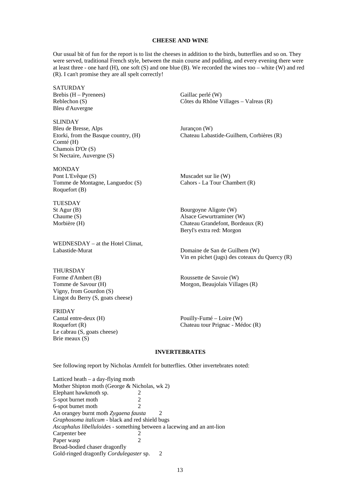#### **CHEESE AND WINE**

Our usual bit of fun for the report is to list the cheeses in addition to the birds, butterflies and so on. They were served, traditional French style, between the main course and pudding, and every evening there were at least three - one hard (H), one soft (S) and one blue (B). We recorded the wines too – white (W) and red (R). I can't promise they are all spelt correctly!

SATURDAY Brebis (H – Pyrenees) Gaillac perlé (W) Bleu d'Auvergne

SLINDAY Bleu de Bresse, Alps Jurançon (W) Comté (H) Chamois D'Or (S) St Nectaire, Auvergne (S)

MONDAY Pont L'Evêque (S) Muscadet sur lie (W) Tomme de Montagne, Languedoc (S) Cahors - La Tour Chambert (R) Roquefort (B)

TUESDAY

WEDNESDAY – at the Hotel Climat, Labastide-Murat Domaine de San de Guilhem (W)

THURSDAY Forme d'Ambert (B) Roussette de Savoie (W) Tomme de Savour (H) Morgon, Beaujolais Villages (R) Vigny, from Gourdon (S) Lingot du Berry (S, goats cheese)

FRIDAY Cantal entre-deux (H) Pouilly-Fumé – Loire (W) Le cabrau (S, goats cheese) Brie meaux (S)

Reblechon (S) Côtes du Rhône Villages – Valreas (R)

Etorki, from the Basque country, (H) Chateau Labastide-Guilhem, Corbières (R)

St Agur (B) Bourgoyne Aligote (W) Chaume (S) Alsace Gewurtraminer (W) Morbière (H) Chateau Grandefont, Bordeaux (R) Beryl's extra red: Morgon

Vin en pichet (jugs) des coteaux du Quercy (R)

Roquefort (R) Chateau tour Prignac - Médoc (R)

#### **INVERTEBRATES**

See following report by Nicholas Armfelt for butterflies. Other invertebrates noted:

Latticed heath – a day-flying moth Mother Shipton moth (George & Nicholas, wk 2) Elephant hawkmoth sp. 2<br>5-spot burnet moth 2 5-spot burnet moth 2 6-spot bumet moth 2 An orangey burnt moth Zygaena fausta *Graphosoma italicum* - black and red shield bugs *Ascaphalus libelluloides* - something between a lacewing and an ant-lion Carpenter bee 2 Paper wasp 2 Broad-bodied chaser dragonfly Gold-ringed dragonfly *Cordulegaster* sp. 2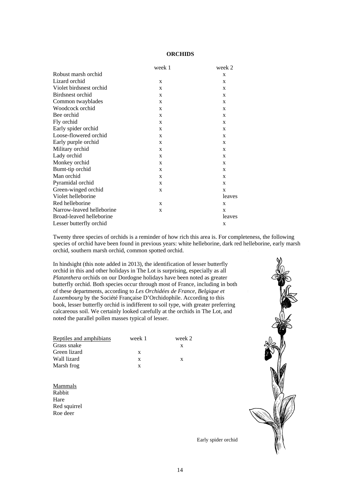## **ORCHIDS**

|                           | week 1       | week 2       |
|---------------------------|--------------|--------------|
| Robust marsh orchid       |              | X            |
| Lizard orchid             | X            | X            |
| Violet birdsnest orchid   | X            | X            |
| Birdsnest orchid          | X            | $\mathbf{x}$ |
| Common twayblades         | X            | X            |
| Woodcock orchid           | X            | X            |
| Bee orchid                | X            | $\mathbf{x}$ |
| Fly orchid                | X            | X            |
| Early spider orchid       | X            | X            |
| Loose-flowered orchid     | X            | X            |
| Early purple orchid       | X            | X            |
| Military orchid           | X            | X            |
| Lady orchid               | $\mathbf{x}$ | X            |
| Monkey orchid             | X            | X            |
| Bumt-tip orchid           | X            | X            |
| Man orchid                | X            | X            |
| Pyramidal orchid          | X            | X            |
| Green-winged orchid       | X            | X            |
| Violet helleborine        |              | leaves       |
| Red helleborine           | $\mathbf{x}$ | X            |
| Narrow-leaved helleborine | X            | X            |
| Broad-leaved helleborine  |              | leaves       |
| Lesser butterfly orchid   |              | X            |
|                           |              |              |

Twenty three species of orchids is a reminder of how rich this area is. For completeness, the following species of orchid have been found in previous years: white helleborine, dark red helleborine, early marsh orchid, southern marsh orchid, common spotted orchid.

In hindsight (this note added in 2013), the identification of lesser butterfly orchid in this and other holidays in The Lot is surprising, especially as all *Platanthera* orchids on our Dordogne holidays have been noted as greater butterfly orchid. Both species occur through most of France, including in both of these departments, according to *Les Orchidées de France, Belgique et Luxembourg* by the Société Française D'Orchidophile. According to this book, lesser butterfly orchid is indifferent to soil type, with greater preferring calcareous soil. We certainly looked carefully at the orchids in The Lot, and noted the parallel pollen masses typical of lesser.

| Reptiles and amphibians | week 1 | week 2 |
|-------------------------|--------|--------|
| Grass snake             |        |        |
| Green lizard            | X      |        |
| Wall lizard             | X      | X      |
| Marsh frog              |        |        |

**Mammals** Rabbit Hare Red squirrel Roe deer



Early spider orchid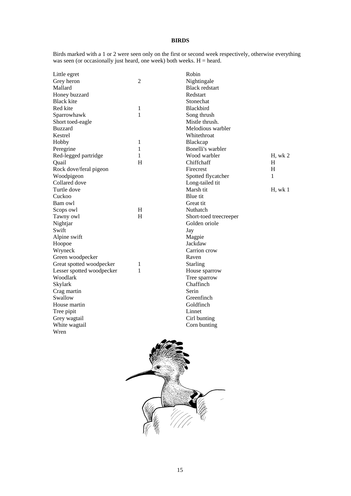## **BIRDS**

Birds marked with a 1 or 2 were seen only on the first or second week respectively, otherwise everything was seen (or occasionally just heard, one week) both weeks.  $H =$  heard.

| Little egret              |                | Robin                  |         |
|---------------------------|----------------|------------------------|---------|
| Grey heron                | $\overline{2}$ | Nightingale            |         |
| Mallard                   |                | <b>Black redstart</b>  |         |
| Honey buzzard             |                | Redstart               |         |
| <b>Black kite</b>         |                | Stonechat              |         |
| Red kite                  | 1              | <b>Blackbird</b>       |         |
| Sparrowhawk               | 1              | Song thrush            |         |
| Short toed-eagle          |                | Mistle thrush.         |         |
| <b>Buzzard</b>            |                | Melodious warbler      |         |
| Kestrel                   |                | Whitethroat            |         |
| Hobby                     | 1              | Blackcap               |         |
| Peregrine                 | 1              | Bonelli's warbler      |         |
| Red-legged partridge      | 1              | Wood warbler           | H, wk 2 |
| Quail                     | H              | Chiffchaff             | H       |
| Rock dove/feral pigeon    |                | Firecrest              | H       |
| Woodpigeon                |                | Spotted flycatcher     | 1       |
| Collared dove             |                | Long-tailed tit        |         |
| Turtle dove               |                | Marsh tit              | H, wk 1 |
| Cuckoo                    |                | Blue tit               |         |
| Bam owl                   |                | Great tit              |         |
| Scops owl                 | H              | Nuthatch               |         |
| Tawny owl                 | H              | Short-toed treecreeper |         |
| Nightjar                  |                | Golden oriole          |         |
| Swift                     |                | Jay                    |         |
| Alpine swift              |                | Magpie                 |         |
| Hoopoe                    |                | Jackdaw                |         |
| Wryneck                   |                | Carrion crow           |         |
| Green woodpecker          |                | Raven                  |         |
| Great spotted woodpecker  | 1              | <b>Starling</b>        |         |
| Lesser spotted woodpecker | 1              | House sparrow          |         |
| Woodlark                  |                | Tree sparrow           |         |
| Skylark                   |                | Chaffinch              |         |
| Crag martin               |                | Serin                  |         |
| Swallow                   |                | Greenfinch             |         |
| House martin              |                | Goldfinch              |         |
| Tree pipit                |                | Linnet                 |         |
| Grey wagtail              |                | Cirl bunting           |         |
| White wagtail             |                | Corn bunting           |         |
| Wren                      |                |                        |         |

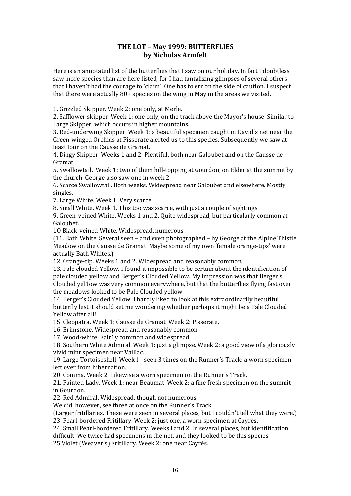## **THE LOT – May 1999: BUTTERFLIES by Nicholas Armfelt**

Here is an annotated list of the butterflies that I saw on our holiday. In fact I doubtless saw more species than are here listed, for I had tantalizing glimpses of several others that I haven't had the courage to 'claim'. One has to err on the side of caution. I suspect that there were actually 80+ species on the wing in May in the areas we visited.

1. Grizzled Skipper. Week 2: one only, at Merle.

2. Safflower skipper. Week 1: one only, on the track above the Mayor's house. Similar to Large Skipper, which occurs in higher mountains.

3. Red‐underwing Skipper. Week 1: a beautiful specimen caught in David's net near the Green‐winged Orchids at Pisserate alerted us to this species. Subsequently we saw at least four on the Causse de Gramat.

4. Dingy Skipper. Weeks 1 and 2. Plentiful, both near Galoubet and on the Causse de Gramat.

5. Swallowtail. Week 1: two of them hill‐topping at Gourdon, on Elder at the summit by the church. George also saw one in week 2.

6. Scarce Swallowtail. Both weeks. Widespread near Galoubet and elsewhere. Mostly singles.

7. Large White. Week 1. Very scarce.

8. Small White. Week 1. This too was scarce, with just a couple of sightings.

9. Green‐veined White. Weeks 1 and 2. Quite widespread, but particularly common at Galoubet.

1O Black‐veined White. Widespread, numerous.

(11. Bath White. Several seen – and even photographed – by George at the Alpine Thistle Meadow on the Causse de Gramat. Maybe some of my own 'female orange-tips' were actually Bath Whites.)

12. Orange-tip. Weeks 1 and 2. Widespread and reasonably common.

13. Pale clouded Yellow. I found it impossible to be certain about the identification of pale clouded yellow and Berger's Clouded YeIlow. My impression was that Berger's Clouded yel1ow was very common everywhere, but that the butterflies flying fast over the meadows looked to be Pale Clouded yellow.

14. Berger's Clouded Yellow. I hardly liked to look at this extraordinarily beautiful butterfly lest it should set me wondering whether perhaps it might be a Pale Clouded Yellow after all!

15. Cleopatra. Week 1: Causse de Gramat. Week 2: Pisserate.

16. Brimstone. Widespread and reasonably common.

17. Wood‐white. Fair1y common and widespread.

18. Southern White Admiral. Week 1: just a glimpse. Week 2: a good view of a gloriously vivid mint specimen near Vaillac.

19. Large Tortoiseshell. Week l – seen 3 times on the Runner's Track: a worn specimen left over from hibernation.

20. Comma. Week 2. Likewise a worn specimen on the Runner's Track.

21. Painted Ladv. Week 1: near Beaumat. Week 2: a fine fresh specimen on the summit in Gourdon.

22. Red Admiral. Widespread, though not numerous.

We did, however, see three at once on the Runner's Track.

(Larger fritillaries. These were seen in several places, but I couldn't tell what they were.) 23. Pearl‐bordered Fritillary. Week 2: just one, a worn specimen at Cayrès.

24. Small Pearl‐bordered Fritillary. Weeks l and 2. In several places, but identification difficult. We twice had specimens in the net, and they looked to be this species.

25 Violet (Weaver's) Fritillary. Week 2: one near Cayrès.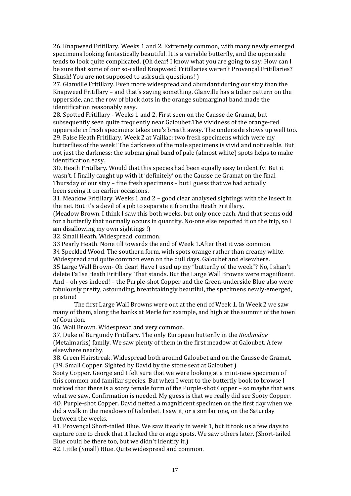26. Knapweed Fritillary. Weeks 1 and 2. Extremely common, with many newly emerged specimens looking fantastically beautiful. It is a variable butterfly, and the upperside tends to look quite complicated. (Oh dear! I know what you are going to say: How can I be sure that some of our so-called Knapweed Fritillaries weren't Provencal Fritillaries? Shush! You are not supposed to ask such questions! )

27. Glanville Fritillary. Even more widespread and abundant during our stay than the Knapweed Fritillary – and that's saying something. Glanville has a tidier pattern on the upperside, and the row of black dots in the orange submarginal band made the identification reasonably easy.

28. Spotted Fritillary ‐ Weeks 1 and 2. First seen on the Causse de Gramat, but subsequently seen quite frequently near Galoubet.The vividness of the orange-red upperside in fresh specimens takes one's breath away. The underside shows up well too. 29. False Heath Fritillary. Week 2 at Vaillac: two fresh specimens which were my butterflies of the week! The darkness of the male specimens is vivid and noticeable. But not just the darkness: the submarginal band of pale (almost white) spots helps to make identification easy.

3O. Heath Fritillary. Would that this species had been equally easy to identify! But it wasn't. I finally caught up with it 'definitely' on the Causse de Gramat on the final Thursday of our stay – fine fresh specimens – but I guess that we had actually been seeing it on earlier occasions.

31. Meadow Fritillary. Weeks 1 and 2 – good clear analysed sightings with the insect in the net. But it's a devil of a job to separate it from the Heath Fritillary.

(Meadow Brown. I think I saw this both weeks, but only once each. And that seems odd for a butterfly that normally occurs in quantity. No-one else reported it on the trip, so I am disallowing my own sightings !)

32. Small Heath. Widespread, common.

33 Pearly Heath. None till towards the end of Week 1.After that it was common. 34 Speckled Wood. The southern form, with spots orange rather than creamy white. Widespread and quite common even on the dull days. Galoubet and elsewhere. 35 Large Wall Brown‐ Oh dear! Have I used up my "butterfly of the week"? No, I shan't delete Fa1se Heath Fritillary. That stands. But the Large Wall Browns were magnificent. And – oh yes indeed! – the Purple-shot Copper and the Green-underside Blue also were fabulously pretty, astounding, breathtakingly beautiful, the specimens newly‐emerged, pristine!

The first Large WalI Browns were out at the end of Week 1. In Week 2 we saw many of them, along the banks at Merle for example, and high at the summit of the town of Gourdon.

36. Wall Brown. Widespread and very common.

37. Duke of Burgundy Fritillary. The only European butterfly in the *Riodinidae* (Metalmarks) family. We saw plenty of them in the first meadow at Galoubet. A few elsewhere nearby.

38. Green Hairstreak. Widespread both around Galoubet and on the Causse de Gramat. (39. Small Copper. Sighted by David by the stone seat at Galoubet )

Sooty Copper. George and I felt sure that we were looking at a mint‐new specimen of this common and familiar species. But when I went to the butterfly book to browse I noticed that there is a sooty female form of the Purple‐shot Copper – so maybe that was what we saw. Confirmation is needed. My guess is that we really did see Sooty Copper. 4O. Purple‐shot Copper. David netted a magnificent specimen on the first day when we did a walk in the meadows of Galoubet. I saw it, or a similar one, on the Saturday between the weeks.

41. Provençal Short-tailed Blue. We saw it early in week 1, but it took us a few days to capture one to check that it lacked the orange spots. We saw others later. (Short-tailed Blue could be there too, but we didn't identify it.)

42. Little (Small) BIue. Quite widespread and common.